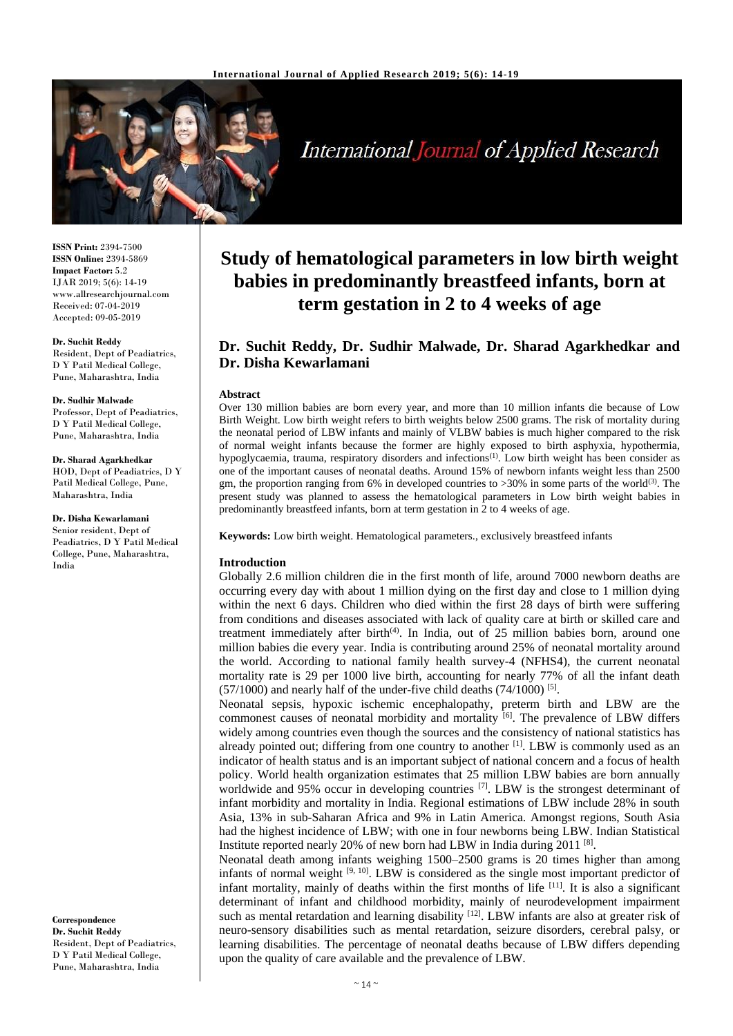

**International Journal of Applied Research** 

**ISSN Print:** 2394-7500 **ISSN Online:** 2394-5869 **Impact Factor:** 5.2 IJAR 2019; 5(6): 14-19 www.allresearchjournal.com Received: 07-04-2019 Accepted: 09-05-2019

#### **Dr. Suchit Reddy**

Resident, Dept of Peadiatrics, D Y Patil Medical College, Pune, Maharashtra, India

#### **Dr. Sudhir Malwade**

Professor, Dept of Peadiatrics, D Y Patil Medical College, Pune, Maharashtra, India

**Dr. Sharad Agarkhedkar** HOD, Dept of Peadiatrics, D Y Patil Medical College, Pune, Maharashtra, India

**Dr. Disha Kewarlamani** Senior resident, Dept of Peadiatrics, D Y Patil Medical College, Pune, Maharashtra, India

**Correspondence Dr. Suchit Reddy** Resident, Dept of Peadiatrics, D Y Patil Medical College, Pune, Maharashtra, India

# **Study of hematological parameters in low birth weight babies in predominantly breastfeed infants, born at term gestation in 2 to 4 weeks of age**

# **Dr. Suchit Reddy, Dr. Sudhir Malwade, Dr. Sharad Agarkhedkar and Dr. Disha Kewarlamani**

#### **Abstract**

Over 130 million babies are born every year, and more than 10 million infants die because of Low Birth Weight. Low birth weight refers to birth weights below 2500 grams. The risk of mortality during the neonatal period of LBW infants and mainly of VLBW babies is much higher compared to the risk of normal weight infants because the former are highly exposed to birth asphyxia, hypothermia, hypoglycaemia, trauma, respiratory disorders and infections<sup>(1)</sup>. Low birth weight has been consider as one of the important causes of neonatal deaths. Around 15% of newborn infants weight less than 2500 gm, the proportion ranging from 6% in developed countries to  $>30\%$  in some parts of the world<sup>(3)</sup>. The present study was planned to assess the hematological parameters in Low birth weight babies in predominantly breastfeed infants, born at term gestation in 2 to 4 weeks of age.

**Keywords:** Low birth weight. Hematological parameters., exclusively breastfeed infants

# **Introduction**

Globally 2.6 million children die in the first month of life, around 7000 newborn deaths are occurring every day with about 1 million dying on the first day and close to 1 million dying within the next 6 days. Children who died within the first 28 days of birth were suffering from conditions and diseases associated with lack of quality care at birth or skilled care and treatment immediately after birth<sup> $(4)$ </sup>. In India, out of 25 million babies born, around one million babies die every year. India is contributing around 25% of neonatal mortality around the world. According to national family health survey-4 (NFHS4), the current neonatal mortality rate is 29 per 1000 live birth, accounting for nearly 77% of all the infant death  $(57/1000)$  and nearly half of the under-five child deaths  $(74/1000)$ <sup>[5]</sup>.

Neonatal sepsis, hypoxic ischemic encephalopathy, preterm birth and LBW are the commonest causes of neonatal morbidity and mortality  $\left[6\right]$ . The prevalence of LBW differs widely among countries even though the sources and the consistency of national statistics has already pointed out; differing from one country to another [1]. LBW is commonly used as an indicator of health status and is an important subject of national concern and a focus of health policy. World health organization estimates that 25 million LBW babies are born annually worldwide and 95% occur in developing countries  $^{[7]}$ . LBW is the strongest determinant of infant morbidity and mortality in India. Regional estimations of LBW include 28% in south Asia, 13% in sub-Saharan Africa and 9% in Latin America. Amongst regions, South Asia had the highest incidence of LBW; with one in four newborns being LBW. Indian Statistical Institute reported nearly 20% of new born had LBW in India during 2011<sup>[8]</sup>.

Neonatal death among infants weighing 1500–2500 grams is 20 times higher than among infants of normal weight  $[9, 10]$ . LBW is considered as the single most important predictor of infant mortality, mainly of deaths within the first months of life  $[11]$ . It is also a significant determinant of infant and childhood morbidity, mainly of neurodevelopment impairment such as mental retardation and learning disability [12]. LBW infants are also at greater risk of neuro-sensory disabilities such as mental retardation, seizure disorders, cerebral palsy, or learning disabilities. The percentage of neonatal deaths because of LBW differs depending upon the quality of care available and the prevalence of LBW.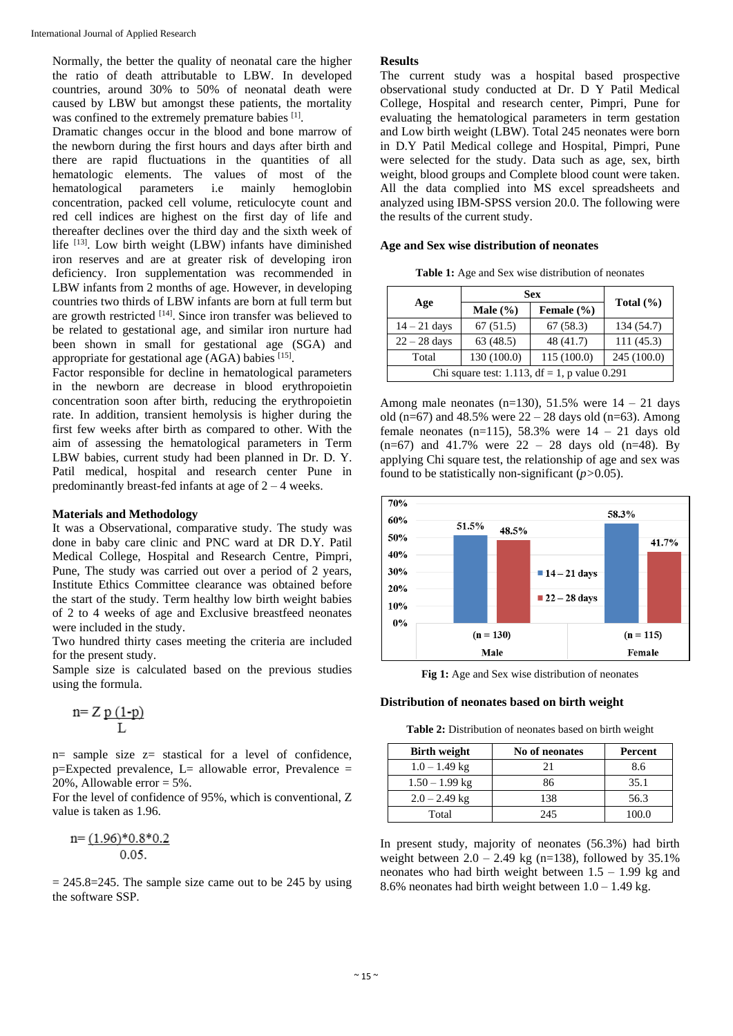Normally, the better the quality of neonatal care the higher the ratio of death attributable to LBW. In developed countries, around 30% to 50% of neonatal death were caused by LBW but amongst these patients, the mortality was confined to the extremely premature babies <sup>[1]</sup>.

Dramatic changes occur in the blood and bone marrow of the newborn during the first hours and days after birth and there are rapid fluctuations in the quantities of all hematologic elements. The values of most of the hematological parameters i.e mainly hemoglobin concentration, packed cell volume, reticulocyte count and red cell indices are highest on the first day of life and thereafter declines over the third day and the sixth week of life  $[13]$ . Low birth weight (LBW) infants have diminished iron reserves and are at greater risk of developing iron deficiency. Iron supplementation was recommended in LBW infants from 2 months of age. However, in developing countries two thirds of LBW infants are born at full term but are growth restricted <sup>[14]</sup>. Since iron transfer was believed to be related to gestational age, and similar iron nurture had been shown in small for gestational age (SGA) and appropriate for gestational age (AGA) babies [15].

Factor responsible for decline in hematological parameters in the newborn are decrease in blood erythropoietin concentration soon after birth, reducing the erythropoietin rate. In addition, transient hemolysis is higher during the first few weeks after birth as compared to other. With the aim of assessing the hematological parameters in Term LBW babies, current study had been planned in Dr. D. Y. Patil medical, hospital and research center Pune in predominantly breast-fed infants at age of 2 – 4 weeks.

#### **Materials and Methodology**

It was a Observational, comparative study. The study was done in baby care clinic and PNC ward at DR D.Y. Patil Medical College, Hospital and Research Centre, Pimpri, Pune, The study was carried out over a period of 2 years, Institute Ethics Committee clearance was obtained before the start of the study. Term healthy low birth weight babies of 2 to 4 weeks of age and Exclusive breastfeed neonates were included in the study.

Two hundred thirty cases meeting the criteria are included for the present study.

Sample size is calculated based on the previous studies using the formula.

$$
n = Z \underbrace{p (1-p)}_{L}
$$

n= sample size z= stastical for a level of confidence,  $p=Expected$  prevalence,  $L=$  allowable error, Prevalence  $=$ 20%, Allowable error  $= 5\%$ .

For the level of confidence of 95%, which is conventional, Z value is taken as 1.96.

$$
n = \frac{(1.96)^*0.8^*0.2}{0.05}
$$

 $= 245.8 = 245$ . The sample size came out to be 245 by using the software SSP.

#### **Results**

The current study was a hospital based prospective observational study conducted at Dr. D Y Patil Medical College, Hospital and research center, Pimpri, Pune for evaluating the hematological parameters in term gestation and Low birth weight (LBW). Total 245 neonates were born in D.Y Patil Medical college and Hospital, Pimpri, Pune were selected for the study. Data such as age, sex, birth weight, blood groups and Complete blood count were taken. All the data complied into MS excel spreadsheets and analyzed using IBM-SPSS version 20.0. The following were the results of the current study.

#### **Age and Sex wise distribution of neonates**

**Table 1:** Age and Sex wise distribution of neonates

|                                                  | <b>Sex</b>   |                |               |
|--------------------------------------------------|--------------|----------------|---------------|
| Age                                              | Male $(\% )$ | Female $(\% )$ | Total $(\% )$ |
| $14 - 21$ days                                   | 67(51.5)     | 67(58.3)       | 134(54.7)     |
| $22 - 28$ days                                   | 63(48.5)     | 48 (41.7)      | 111(45.3)     |
| Total                                            | 130 (100.0)  | 115 (100.0)    | 245 (100.0)   |
| Chi square test: 1.113, $df = 1$ , p value 0.291 |              |                |               |

Among male neonates (n=130), 51.5% were  $14 - 21$  days old (n=67) and 48.5% were  $22 - 28$  days old (n=63). Among female neonates  $(n=115)$ , 58.3% were  $14 - 21$  days old  $(n=67)$  and 41.7% were  $22 - 28$  days old  $(n=48)$ . By applying Chi square test, the relationship of age and sex was found to be statistically non-significant (*p>*0.05).



**Fig 1:** Age and Sex wise distribution of neonates

#### **Distribution of neonates based on birth weight**

**Table 2:** Distribution of neonates based on birth weight

| <b>Birth weight</b> | No of neonates | Percent |
|---------------------|----------------|---------|
| $1.0 - 1.49$ kg     | 21             | 8.6     |
| $1.50 - 1.99$ kg    | 86             | 35.1    |
| $2.0 - 2.49$ kg     | 138            | 56.3    |
| Total               | 245            | 100.0   |

In present study, majority of neonates (56.3%) had birth weight between  $2.0 - 2.49$  kg (n=138), followed by 35.1% neonates who had birth weight between  $1.5 - 1.99$  kg and 8.6% neonates had birth weight between  $1.0 - 1.49$  kg.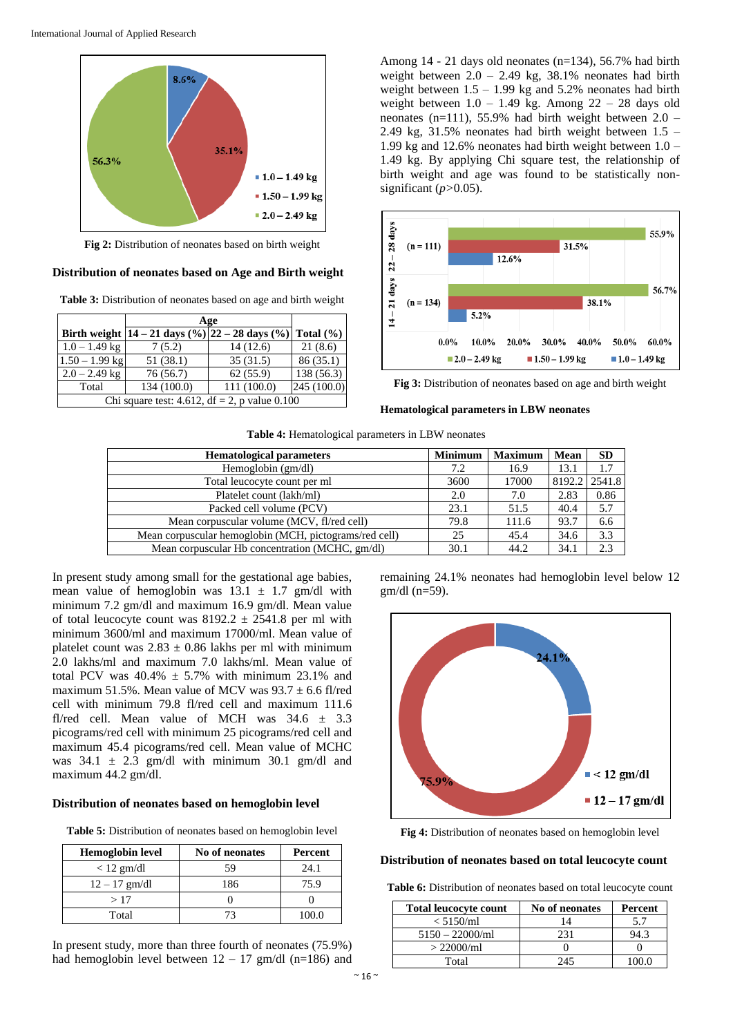

**Fig 2:** Distribution of neonates based on birth weight

**Distribution of neonates based on Age and Birth weight**

**Table 3:** Distribution of neonates based on age and birth weight

|                  | Age                                                      |             |               |
|------------------|----------------------------------------------------------|-------------|---------------|
|                  | Birth weight $ 14 - 21$ days $(\%)  22 - 28$ days $(\%)$ |             | Total $(\% )$ |
| $1.0 - 1.49$ kg  | 7(5.2)                                                   | 14(12.6)    | 21(8.6)       |
| $1.50 - 1.99$ kg | 51(38.1)                                                 | 35(31.5)    | 86(35.1)      |
| $2.0 - 2.49$ kg  | 76 (56.7)                                                | 62(55.9)    | 138 (56.3)    |
| Total            | 134 (100.0)                                              | 111 (100.0) | 245 (100.0)   |
|                  | Chi square test: 4.612, df = 2, p value $0.100$          |             |               |

Among 14 - 21 days old neonates (n=134), 56.7% had birth weight between  $2.0 - 2.49$  kg,  $38.1\%$  neonates had birth weight between  $1.5 - 1.99$  kg and  $5.2\%$  neonates had birth weight between  $1.0 - 1.49$  kg. Among  $22 - 28$  days old neonates (n=111), 55.9% had birth weight between 2.0 – 2.49 kg,  $31.5\%$  neonates had birth weight between  $1.5 -$ 1.99 kg and 12.6% neonates had birth weight between 1.0 – 1.49 kg. By applying Chi square test, the relationship of birth weight and age was found to be statistically nonsignificant (*p>*0.05).



**Fig 3:** Distribution of neonates based on age and birth weight

**Hematological parameters in LBW neonates**

|  | Table 4: Hematological parameters in LBW neonates |  |  |
|--|---------------------------------------------------|--|--|
|  |                                                   |  |  |

| <b>Hematological parameters</b>                        | <b>Minimum</b> | <b>Maximum</b> | Mean          | <b>SD</b> |
|--------------------------------------------------------|----------------|----------------|---------------|-----------|
| Hemoglobin $(gm/dl)$                                   | 7.2            | 16.9           | 13.1          | 1.7       |
| Total leucocyte count per ml                           | 3600           | 17000          | 8192.2 2541.8 |           |
| Platelet count (lakh/ml)                               | 2.0            | 7.0            | 2.83          | 0.86      |
| Packed cell volume (PCV)                               | 23.1           | 51.5           | 40.4          | 5.7       |
| Mean corpuscular volume (MCV, fl/red cell)             | 79.8           | 111.6          | 93.7          | 6.6       |
| Mean corpuscular hemoglobin (MCH, pictograms/red cell) | 25             | 45.4           | 34.6          | 3.3       |
| Mean corpuscular Hb concentration (MCHC, gm/dl)        | 30.1           | 44.2           | 34.1          | 2.3       |

In present study among small for the gestational age babies, mean value of hemoglobin was  $13.1 \pm 1.7$  gm/dl with minimum 7.2 gm/dl and maximum 16.9 gm/dl. Mean value of total leucocyte count was  $8192.2 \pm 2541.8$  per ml with minimum 3600/ml and maximum 17000/ml. Mean value of platelet count was  $2.83 \pm 0.86$  lakhs per ml with minimum 2.0 lakhs/ml and maximum 7.0 lakhs/ml. Mean value of total PCV was  $40.4\% \pm 5.7\%$  with minimum 23.1% and maximum 51.5%. Mean value of MCV was  $93.7 \pm 6.6$  fl/red cell with minimum 79.8 fl/red cell and maximum 111.6 fl/red cell. Mean value of MCH was 34.6 ± 3.3 picograms/red cell with minimum 25 picograms/red cell and maximum 45.4 picograms/red cell. Mean value of MCHC was  $34.1 \pm 2.3$  gm/dl with minimum 30.1 gm/dl and maximum 44.2 gm/dl.

# **Distribution of neonates based on hemoglobin level**

**Table 5:** Distribution of neonates based on hemoglobin level

| <b>Hemoglobin level</b> | No of neonates | Percent |
|-------------------------|----------------|---------|
| $< 12$ gm/dl            | 59             | 24.1    |
| $12 - 17$ gm/dl         | 186            | 75.9    |
| >17                     |                |         |
| Total                   |                | 100.0   |

In present study, more than three fourth of neonates (75.9%) had hemoglobin level between  $12 - 17$  gm/dl (n=186) and

remaining 24.1% neonates had hemoglobin level below 12 gm/dl (n=59).



**Fig 4:** Distribution of neonates based on hemoglobin level

# **Distribution of neonates based on total leucocyte count**

Table 6: Distribution of neonates based on total leucocyte count

| Total leucocyte count | No of neonates | Percent |
|-----------------------|----------------|---------|
| $< 5150$ /ml          |                | 5.7     |
| $5150 - 22000$ /ml    | 231            | J4.3    |
| $> 22000$ /ml         |                |         |
| Total                 | 245            |         |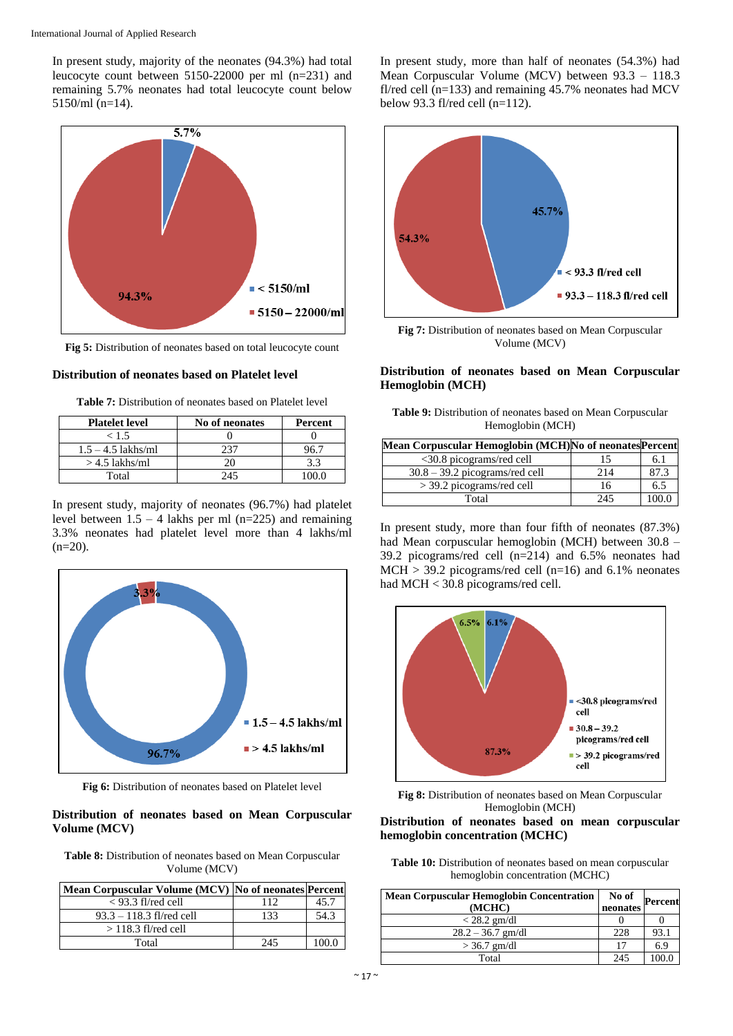In present study, majority of the neonates (94.3%) had total leucocyte count between 5150-22000 per ml (n=231) and remaining 5.7% neonates had total leucocyte count below 5150/ml (n=14).



**Fig 5:** Distribution of neonates based on total leucocyte count

# **Distribution of neonates based on Platelet level**

| <b>Table 7:</b> Distribution of neonates based on Platelet level |  |  |  |  |
|------------------------------------------------------------------|--|--|--|--|
|------------------------------------------------------------------|--|--|--|--|

| <b>Platelet level</b> | No of neonates | Percent |
|-----------------------|----------------|---------|
| < 1.5                 |                |         |
| $1.5 - 4.5$ lakhs/ml  | 237            |         |
| $>$ 4.5 lakhs/ml      | 20             | 3.3     |
| Total                 | 245            |         |

In present study, majority of neonates (96.7%) had platelet level between  $1.5 - 4$  lakhs per ml (n=225) and remaining 3.3% neonates had platelet level more than 4 lakhs/ml  $(n=20)$ .



**Fig 6:** Distribution of neonates based on Platelet level

# **Distribution of neonates based on Mean Corpuscular Volume (MCV)**

**Table 8:** Distribution of neonates based on Mean Corpuscular Volume (MCV)

| Mean Corpuscular Volume (MCV) No of neonates Percent |     |      |
|------------------------------------------------------|-----|------|
| $<$ 93.3 fl/red cell                                 | 112 | 45.7 |
| $93.3 - 118.3$ fl/red cell                           | 133 | 54.3 |
| $>$ 118.3 fl/red cell                                |     |      |
| Total                                                | 245 |      |

In present study, more than half of neonates (54.3%) had Mean Corpuscular Volume (MCV) between 93.3 – 118.3 fl/red cell  $(n=133)$  and remaining 45.7% neonates had MCV below 93.3 fl/red cell (n=112).



**Fig 7:** Distribution of neonates based on Mean Corpuscular Volume (MCV)

# **Distribution of neonates based on Mean Corpuscular Hemoglobin (MCH)**

| <b>Table 9:</b> Distribution of neonates based on Mean Corpuscular |                  |  |
|--------------------------------------------------------------------|------------------|--|
|                                                                    | Hemoglobin (MCH) |  |

| Mean Corpuscular Hemoglobin (MCH)No of neonates Percent |     |      |
|---------------------------------------------------------|-----|------|
| <30.8 picograms/red cell                                | 15  | 6.1  |
| $30.8 - 39.2$ picograms/red cell                        | 214 | 87.3 |
| $>$ 39.2 picograms/red cell                             | 16  | 6.5  |
| Total                                                   | 245 |      |

In present study, more than four fifth of neonates (87.3%) had Mean corpuscular hemoglobin (MCH) between 30.8 – 39.2 picograms/red cell (n=214) and 6.5% neonates had  $MCH > 39.2$  picograms/red cell (n=16) and 6.1% neonates had MCH < 30.8 picograms/red cell.



**Fig 8:** Distribution of neonates based on Mean Corpuscular Hemoglobin (MCH)

**Distribution of neonates based on mean corpuscular hemoglobin concentration (MCHC)**

**Table 10:** Distribution of neonates based on mean corpuscular hemoglobin concentration (MCHC)

| <b>Mean Corpuscular Hemoglobin Concentration</b><br>(MCHC) | No of<br>neonates | <b>Percent</b> |
|------------------------------------------------------------|-------------------|----------------|
| $<$ 28.2 gm/dl                                             |                   |                |
| $28.2 - 36.7$ gm/dl                                        | 228               | 93.1           |
| $>$ 36.7 gm/dl                                             | 17                | 6.9            |
| Total                                                      | 245               |                |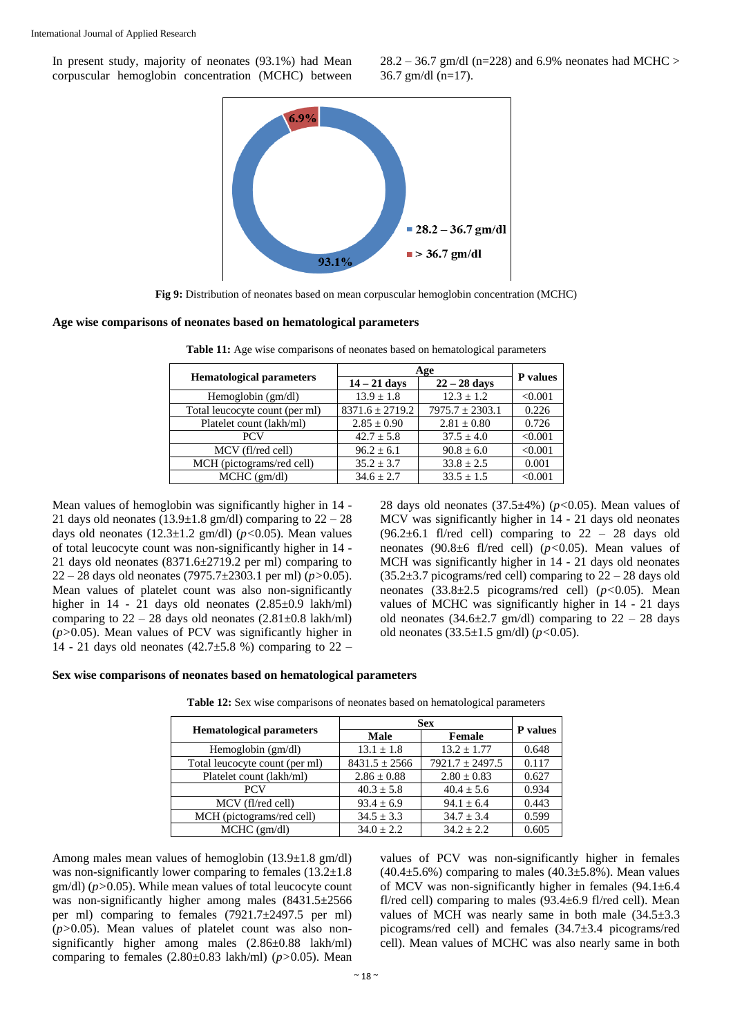In present study, majority of neonates (93.1%) had Mean corpuscular hemoglobin concentration (MCHC) between

 $28.2 - 36.7$  gm/dl (n=228) and 6.9% neonates had MCHC > 36.7 gm/dl (n=17).



**Fig 9:** Distribution of neonates based on mean corpuscular hemoglobin concentration (MCHC)

#### **Age wise comparisons of neonates based on hematological parameters**

|                                 | Age                 |                     | P values |
|---------------------------------|---------------------|---------------------|----------|
| <b>Hematological parameters</b> | $14 - 21$ days      | $22 - 28$ days      |          |
| Hemoglobin $(gm/dl)$            | $13.9 \pm 1.8$      | $12.3 + 1.2$        | < 0.001  |
| Total leucocyte count (per ml)  | $8371.6 \pm 2719.2$ | $7975.7 \pm 2303.1$ | 0.226    |
| Platelet count (lakh/ml)        | $2.85 \pm 0.90$     | $2.81 \pm 0.80$     | 0.726    |
| <b>PCV</b>                      | $42.7 \pm 5.8$      | $37.5 \pm 4.0$      | < 0.001  |
| MCV (fl/red cell)               | $96.2 + 6.1$        | $90.8 \pm 6.0$      | < 0.001  |
| MCH (pictograms/red cell)       | $35.2 + 3.7$        | $33.8 + 2.5$        | 0.001    |
| MCHC (gm/dl)                    | $34.6 \pm 2.7$      | $33.5 + 1.5$        | < 0.001  |

Table 11: Age wise comparisons of neonates based on hematological parameters

Mean values of hemoglobin was significantly higher in 14 - 21 days old neonates  $(13.9 \pm 1.8 \text{ gm/dl})$  comparing to  $22 - 28$ days old neonates (12.3±1.2 gm/dl) (*p<*0.05). Mean values of total leucocyte count was non-significantly higher in 14 - 21 days old neonates (8371.6±2719.2 per ml) comparing to 22 – 28 days old neonates (7975.7±2303.1 per ml) (*p>*0.05). Mean values of platelet count was also non-significantly higher in 14 - 21 days old neonates  $(2.85\pm0.9 \text{lakh/ml})$ comparing to  $22 - 28$  days old neonates  $(2.81 \pm 0.8 \text{ lakh/ml})$ (*p>*0.05). Mean values of PCV was significantly higher in 14 - 21 days old neonates (42.7 $\pm$ 5.8 %) comparing to 22 –

28 days old neonates (37.5±4%) (*p<*0.05). Mean values of MCV was significantly higher in 14 - 21 days old neonates (96.2 $\pm$ 6.1 fl/red cell) comparing to 22 - 28 days old neonates (90.8±6 fl/red cell) (*p<*0.05). Mean values of MCH was significantly higher in 14 - 21 days old neonates  $(35.2\pm3.7)$  picograms/red cell) comparing to  $22 - 28$  days old neonates (33.8±2.5 picograms/red cell) (*p<*0.05). Mean values of MCHC was significantly higher in 14 - 21 days old neonates (34.6 $\pm$ 2.7 gm/dl) comparing to 22 – 28 days old neonates (33.5±1.5 gm/dl) (*p<*0.05).

#### **Sex wise comparisons of neonates based on hematological parameters**

| <b>Hematological parameters</b> | <b>Sex</b>        |                     | <b>P</b> values |
|---------------------------------|-------------------|---------------------|-----------------|
|                                 | <b>Male</b>       | Female              |                 |
| Hemoglobin (gm/dl)              | $13.1 \pm 1.8$    | $13.2 + 1.77$       | 0.648           |
| Total leucocyte count (per ml)  | $8431.5 \pm 2566$ | $7921.7 \pm 2497.5$ | 0.117           |
| Platelet count (lakh/ml)        | $2.86 \pm 0.88$   | $2.80 \pm 0.83$     | 0.627           |
| <b>PCV</b>                      | $40.3 \pm 5.8$    | $40.4 \pm 5.6$      | 0.934           |
| MCV (fl/red cell)               | $93.4 \pm 6.9$    | $94.1 \pm 6.4$      | 0.443           |
| MCH (pictograms/red cell)       | $34.5 \pm 3.3$    | $34.7 + 3.4$        | 0.599           |
| $MCHC$ (gm/dl)                  | $34.0 + 2.2$      | $34.2 + 2.2$        | 0.605           |

Table 12: Sex wise comparisons of neonates based on hematological parameters

Among males mean values of hemoglobin (13.9±1.8 gm/dl) was non-significantly lower comparing to females  $(13.2\pm1.8)$ gm/dl) (*p>*0.05). While mean values of total leucocyte count was non-significantly higher among males (8431.5±2566) per ml) comparing to females (7921.7±2497.5 per ml) (*p>*0.05). Mean values of platelet count was also nonsignificantly higher among males (2.86±0.88 lakh/ml) comparing to females (2.80±0.83 lakh/ml) (*p>*0.05). Mean

values of PCV was non-significantly higher in females  $(40.4 \pm 5.6\%)$  comparing to males  $(40.3 \pm 5.8\%)$ . Mean values of MCV was non-significantly higher in females  $(94.1 \pm 6.4)$ fl/red cell) comparing to males  $(93.4 \pm 6.9)$  fl/red cell). Mean values of MCH was nearly same in both male  $(34.5\pm3.3)$ picograms/red cell) and females (34.7±3.4 picograms/red cell). Mean values of MCHC was also nearly same in both